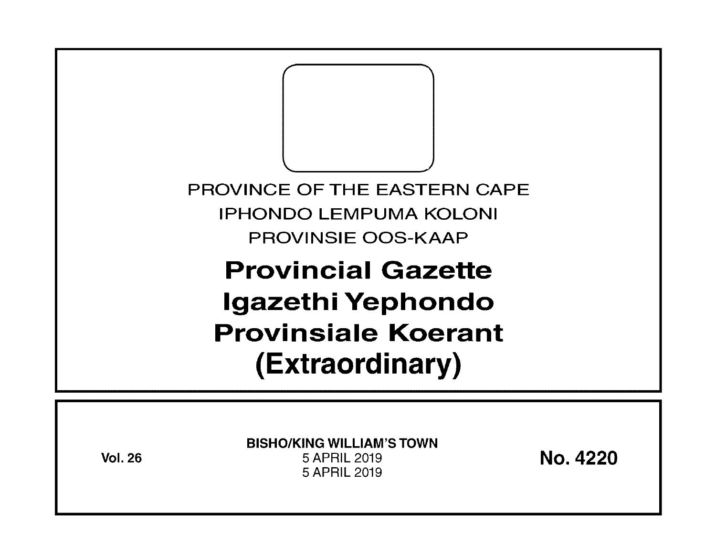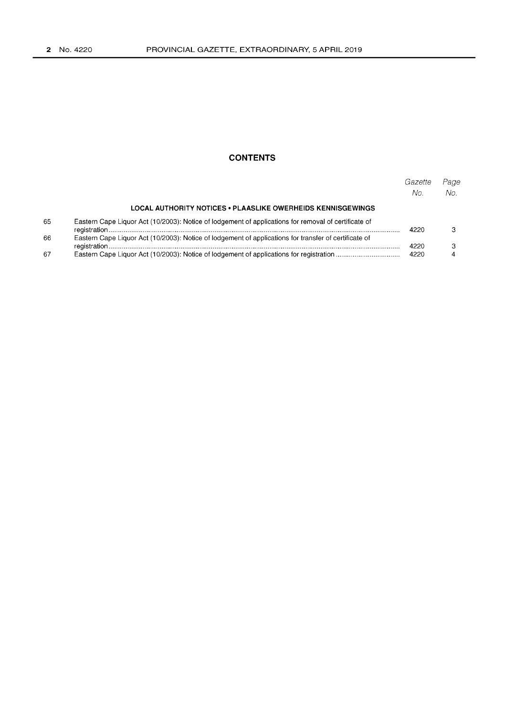# **CONTENTS**

|    |                                                                                                       | Gazette<br>No. | Page<br>No. |
|----|-------------------------------------------------------------------------------------------------------|----------------|-------------|
|    | <b>LOCAL AUTHORITY NOTICES . PLAASLIKE OWERHEIDS KENNISGEWINGS</b>                                    |                |             |
| 65 | Eastern Cape Liquor Act (10/2003): Notice of lodgement of applications for removal of certificate of  | 4220           |             |
| 66 | Eastern Cape Liquor Act (10/2003): Notice of lodgement of applications for transfer of certificate of | 4220           |             |
| 67 |                                                                                                       | 4220           |             |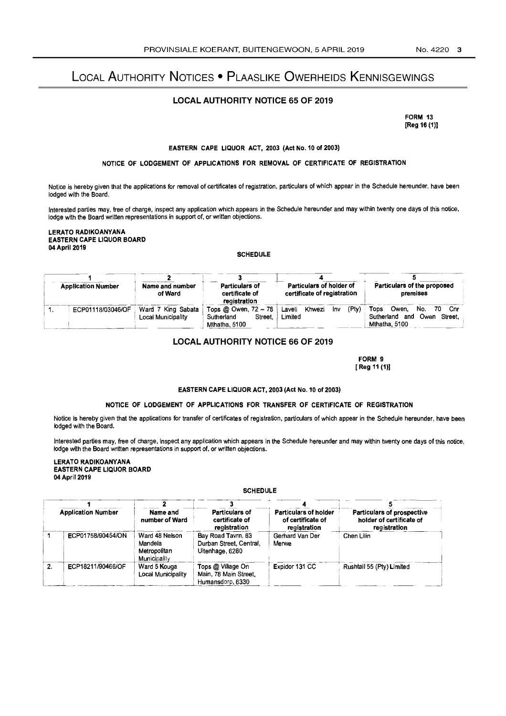# LOCAL AUTHORITY NOTICES • PLAASLIKE OWERHEIDS KENNISGEWINGS

## LOCAL AUTHORITY NOTICE 65 OF 2019

FORM 13 [Reg 16 (1)]

#### EASTERN CAPE LIQUOR ACT, 2003 (Act NO.10 of 2003)

#### NOTICE OF LODGEMENT OF APPLICATIONS FOR REMOVAL OF CERTIFICATE OF REGISTRATION

Notice is hereby given that the applications for removal of certificates of registration. particulars of which appear in the Schedule hereunder, have been lodged with the Board.

Interested parties may. free of charge. inspect any application which appears in the Schedule hereunder and may within twenty one days of this notice. lodge with the Board written representations in support of. or written objections.

LERATO RADIKOANYANA EASTERN CAPE LIQUOR BOARD 04 April 2019

#### **SCHEDULE**

| <b>Application Number</b> |  | Name and number                          | <b>Particulars of</b>                                                                | Particulars of holder of                  | Particulars of the proposed                                                    |  |
|---------------------------|--|------------------------------------------|--------------------------------------------------------------------------------------|-------------------------------------------|--------------------------------------------------------------------------------|--|
|                           |  | of Ward                                  | certificate of                                                                       | certificate of registration               | premises                                                                       |  |
| ECP01118/03046/OF         |  | Ward 7 King Sabata<br>Local Municipality | registration<br>Tops @ Owen, 72 - 78<br>Sutherland<br><b>Street</b><br>Mthatha, 5100 | (Ptv)<br>Laveli Khwezi<br>lnv.<br>Limited | No.<br>Owen.<br>70 Cnr<br>Tons<br>Sutherland and Owen Street.<br>Mthatha, 5100 |  |

## LOCAL AUTHORITY NOTICE 66 OF 2019

FORM 9 [ Reg 11 (1)]

#### EASTERN CAPE LIQUOR ACT, 2003 (Act No. 10 of 2003)

#### NOTICE OF LODGEMENT OF APPLICATIONS FOR TRANSFER OF CERTIFICATE OF REGISTRATION

Notice is hereby given that the applications for transfer of certificates of registration, particulars of which appear in the Schedule hereunder. have been lodged with the Board.

Interested parties may, free of charge, inspect any application which appears in the Schedule hereunder and may within twenty one days of this notice, lodge with the Board written representations in support of. or written objections.

LERATO RADIKOANYANA EASTERN CAPE LIQUOR BOARD 04 April 2019

### **SCHEDULE**

|    | LAUTLINI CAFE EIWOON DOAND<br>04 April 2019 |                                                                                       |                                                                  |                                                            |                                                                        |  |  |
|----|---------------------------------------------|---------------------------------------------------------------------------------------|------------------------------------------------------------------|------------------------------------------------------------|------------------------------------------------------------------------|--|--|
|    | <b>SCHEDULE</b>                             |                                                                                       |                                                                  |                                                            |                                                                        |  |  |
|    |                                             |                                                                                       |                                                                  |                                                            |                                                                        |  |  |
|    | <b>Application Number</b>                   | <b>Particulars of</b><br>Name and<br>number of Ward<br>certificate of<br>registration |                                                                  | Particulars of holder<br>of certificate of<br>registration | Particulars of prospective<br>holder of certificate of<br>registration |  |  |
|    | ECP01758/90454/ON                           | Ward 48 Neison<br>Mandela<br>Metropolitan<br>Municipality                             | Bay Road Tavrn, 63<br>Durban Street, Central,<br>Uitenhage, 6280 | Gerhard Van Der<br>Merwe                                   | Chen Lilin                                                             |  |  |
| 2. | ECP18211/90466/OF                           | Ward 5 Kouga<br>Local Municipality                                                    | Tops @ Village On<br>Main, 78 Main Street.<br>Humansdorp, 6330   | Expidor 131 CC                                             | Rushtail 55 (Pty) Limited                                              |  |  |